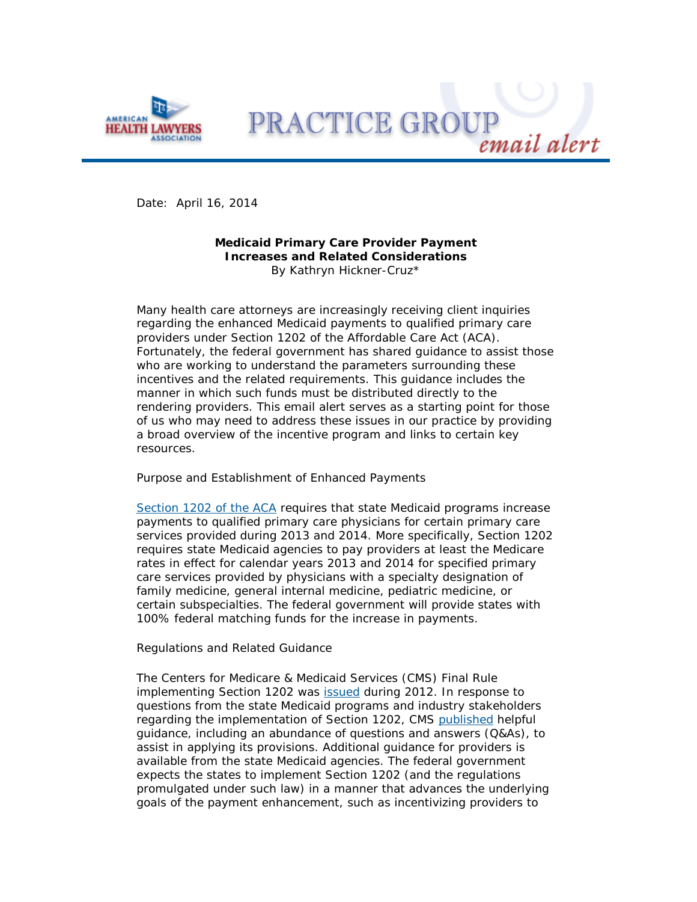

PRACTICE GROUE

Date: April 16, 2014

# **Medicaid Primary Care Provider Payment Increases and Related Considerations** By Kathryn Hickner-Cruz\*

Many health care attorneys are increasingly receiving client inquiries regarding the enhanced Medicaid payments to qualified primary care providers under Section 1202 of the Affordable Care Act (ACA). Fortunately, the federal government has shared guidance to assist those who are working to understand the parameters surrounding these incentives and the related requirements. This guidance includes the manner in which such funds must be distributed directly to the rendering providers. This email alert serves as a starting point for those of us who may need to address these issues in our practice by providing a broad overview of the incentive program and links to certain key resources.

## *Purpose and Establishment of Enhanced Payments*

[Section 1202 of the ACA](http://ahlalyris.healthlawyers.org/t/33112/23918500/7138/2/) requires that state Medicaid programs increase payments to qualified primary care physicians for certain primary care services provided during 2013 and 2014. More specifically, Section 1202 requires state Medicaid agencies to pay providers at least the Medicare rates in effect for calendar years 2013 and 2014 for specified primary care services provided by physicians with a specialty designation of family medicine, general internal medicine, pediatric medicine, or certain subspecialties. The federal government will provide states with 100% federal matching funds for the increase in payments.

## *Regulations and Related Guidance*

The Centers for Medicare & Medicaid Services (CMS) Final Rule implementing Section 1202 was [issued](http://ahlalyris.healthlawyers.org/t/33112/23918500/7139/3/) during 2012. In response to questions from the state Medicaid programs and industry stakeholders regarding the implementation of Section 1202, CMS [published](http://ahlalyris.healthlawyers.org/t/33112/23918500/7139/4/) helpful guidance, including an abundance of questions and answers (Q&As), to assist in applying its provisions. Additional guidance for providers is available from the state Medicaid agencies. The federal government expects the states to implement Section 1202 (and the regulations promulgated under such law) in a manner that advances the underlying goals of the payment enhancement, such as incentivizing providers to